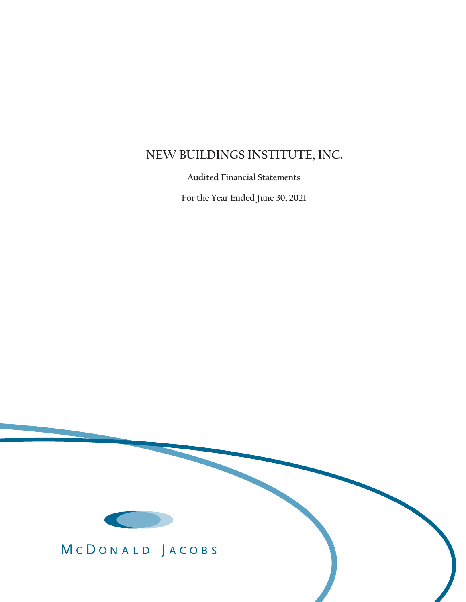# **NEW BUILDINGS INSTITUTE, INC.**

 **Audited Financial Statements**

 **For the Year Ended June 30, 2021**



MCDONALD JACOBS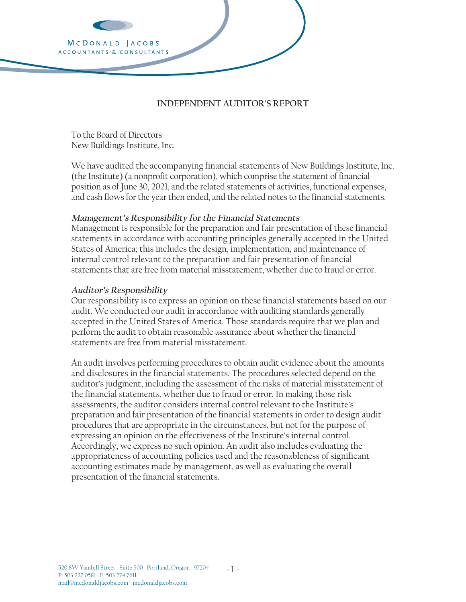

## **INDEPENDENT AUDITOR'S REPORT**

To the Board of Directors New Buildings Institute, Inc.

We have audited the accompanying financial statements of New Buildings Institute, Inc. (the Institute) (a nonprofit corporation), which comprise the statement of financial position as of June 30, 2021, and the related statements of activities, functional expenses, and cash flows for the year then ended, and the related notes to the financial statements.

#### **Management's Responsibility for the Financial Statements**

Management is responsible for the preparation and fair presentation of these financial statements in accordance with accounting principles generally accepted in the United States of America; this includes the design, implementation, and maintenance of internal control relevant to the preparation and fair presentation of financial statements that are free from material misstatement, whether due to fraud or error.

#### **Auditor's Responsibility**

audit. We conducted our audit in accordance with auditing standards generally<br>accepted in the United States of America. Those standards require that we plan and Our responsibility is to express an opinion on these financial statements based on our audit. We conducted our audit in accordance with auditing standards generally perform the audit to obtain reasonable assurance about whether the financial statements are free from material misstatement.

An audit involves performing procedures to obtain audit evidence about the amounts and disclosures in the financial statements. The procedures selected depend on the auditor's judgment, including the assessment of the risks of material misstatement of the financial statements, whether due to fraud or error. In making those risk assessments, the auditor considers internal control relevant to the Institute's preparation and fair presentation of the financial statements in order to design audit procedures that are appropriate in the circumstances, but not for the purpose of expressing an opinion on the effectiveness of the Institute's internal control. Accordingly, we express no such opinion. An audit also includes evaluating the appropriateness of accounting policies used and the reasonableness of significant accounting estimates made by management, as well as evaluating the overall presentation of the financial statements.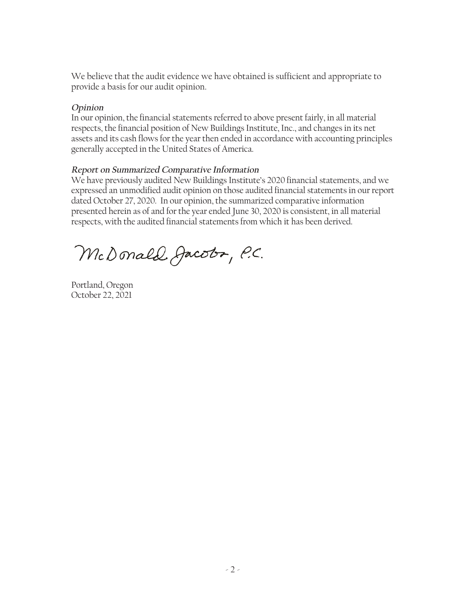We believe that the audit evidence we have obtained is sufficient and appropriate to provide a basis for our audit opinion.

## **Opinion**

In our opinion, the financial statements referred to above present fairly, in all material respects, the financial position of New Buildings Institute, Inc., and changes in its net assets and its cash flows for the year then ended in accordance with accounting principles generally accepted in the United States of America.

## **Report on Summarized Comparative Information**

We have previously audited New Buildings Institute's 2020 financial statements, and we expressed an unmodified audit opinion on those audited financial statements in our report dated October 27, 2020. In our opinion, the summarized comparative information presented herein as of and for the year ended June 30, 2020 is consistent, in all material respects, with the audited financial statements from which it has been derived.

McDonald Jacobs, P.C.

Portland, Oregon October 22, 2021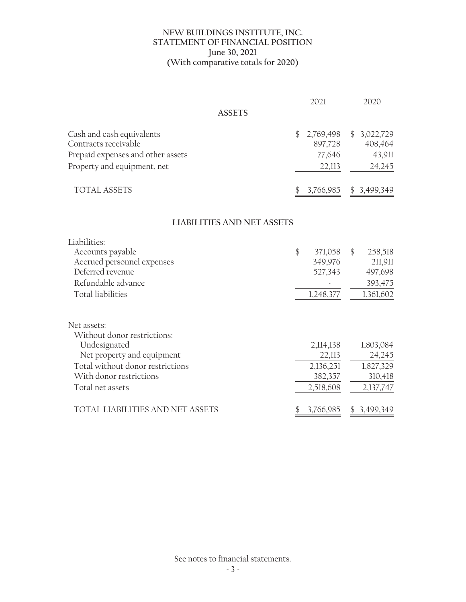#### **NEW BUILDINGS INSTITUTE, INC. STATEMENT OF FINANCIAL POSITION June 30, 2021 (With comparative totals for 2020)**

|                                                                                                                                                                             | 2021                                                        | 2020                                                                   |
|-----------------------------------------------------------------------------------------------------------------------------------------------------------------------------|-------------------------------------------------------------|------------------------------------------------------------------------|
| <b>ASSETS</b>                                                                                                                                                               |                                                             |                                                                        |
| Cash and cash equivalents<br>Contracts receivable<br>Prepaid expenses and other assets<br>Property and equipment, net                                                       | $\mathcal{S}$<br>2,769,498<br>897,728<br>77,646<br>22,113   | \$3,022,729<br>408,464<br>43,911<br>24,245                             |
| <b>TOTAL ASSETS</b>                                                                                                                                                         | 3,766,985                                                   | \$3,499,349                                                            |
| <b>LIABILITIES AND NET ASSETS</b>                                                                                                                                           |                                                             |                                                                        |
| Liabilities:<br>Accounts payable<br>Accrued personnel expenses<br>Deferred revenue<br>Refundable advance<br>Total liabilities                                               | $\mathcal{S}$<br>371,058<br>349,976<br>527,343<br>1,248,377 | $\frac{1}{2}$<br>258,518<br>211,911<br>497,698<br>393,475<br>1,361,602 |
| Net assets:<br>Without donor restrictions:<br>Undesignated<br>Net property and equipment<br>Total without donor restrictions<br>With donor restrictions<br>Total net assets | 2,114,138<br>22,113<br>2,136,251<br>382,357<br>2,518,608    | 1,803,084<br>24,245<br>1,827,329<br>310,418<br>2,137,747               |
| <b>TOTAL LIABILITIES AND NET ASSETS</b>                                                                                                                                     | 3,766,985<br>\$                                             | \$3,499,349                                                            |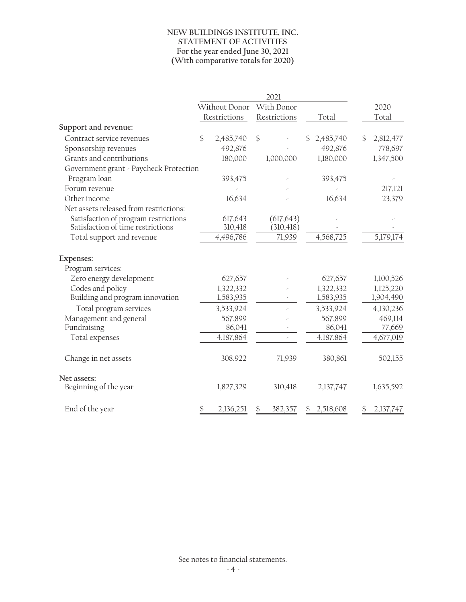#### **NEW BUILDINGS INSTITUTE, INC. STATEMENT OF ACTIVITIES For the year ended June 30, 2021 (With comparative totals for 2020)**

|                                        |                 | 2021         |                 |                 |
|----------------------------------------|-----------------|--------------|-----------------|-----------------|
|                                        | Without Donor   | With Donor   |                 | 2020            |
|                                        | Restrictions    | Restrictions | Total           | Total           |
| Support and revenue:                   |                 |              |                 |                 |
| Contract service revenues              | \$<br>2,485,740 | \$           | 2,485,740       | \$<br>2,812,477 |
| Sponsorship revenues                   | 492,876         |              | 492,876         | 778,697         |
| Grants and contributions               | 180,000         | 1,000,000    | 1,180,000       | 1,347,500       |
| Government grant - Paycheck Protection |                 |              |                 |                 |
| Program loan                           | 393,475         |              | 393,475         |                 |
| Forum revenue                          |                 |              |                 | 217,121         |
| Other income                           | 16,634          |              | 16,634          | 23,379          |
| Net assets released from restrictions: |                 |              |                 |                 |
| Satisfaction of program restrictions   | 617,643         | (617, 643)   |                 |                 |
| Satisfaction of time restrictions      | 310,418         | (310, 418)   |                 |                 |
| Total support and revenue              | 4,496,786       | 71,939       | 4,568,725       | 5,179,174       |
| <b>Expenses:</b>                       |                 |              |                 |                 |
| Program services:                      |                 |              |                 |                 |
| Zero energy development                | 627,657         |              | 627,657         | 1,100,526       |
| Codes and policy                       | 1,322,332       |              | 1,322,332       | 1,125,220       |
| Building and program innovation        | 1,583,935       |              | 1,583,935       | 1,904,490       |
| Total program services                 | 3,533,924       |              | 3,533,924       | 4,130,236       |
| Management and general                 | 567,899         |              | 567,899         | 469,114         |
| Fundraising                            | 86,041          |              | 86,041          | 77,669          |
| Total expenses                         | 4,187,864       |              | 4,187,864       | 4,677,019       |
| Change in net assets                   | 308,922         | 71,939       | 380,861         | 502,155         |
| Net assets:                            |                 |              |                 |                 |
| Beginning of the year                  | 1,827,329       | 310,418      | 2,137,747       | 1,635,592       |
| End of the year                        | \$<br>2,136,251 | 382,357      | \$<br>2,518,608 | \$<br>2,137,747 |

See notes to financial statements.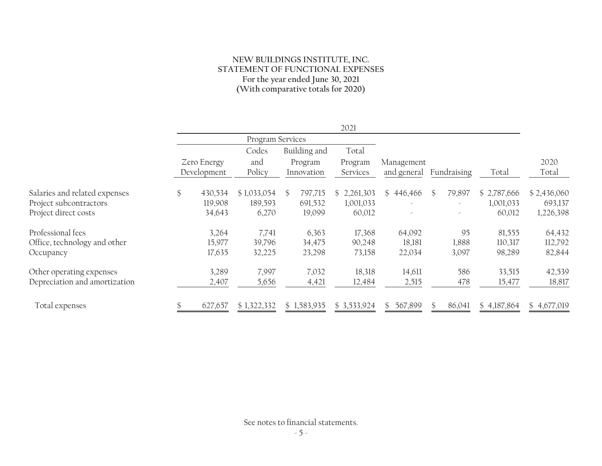#### **NEW BUILDINGS INSTITUTE, INC. STATEMENT OF FUNCTIONAL EXPENSES For the year ended June 30, 2021 (With comparative totals for 2020)**

|               | Codes                      |         | Total                                                                    |     |         |             |            |             |             |
|---------------|----------------------------|---------|--------------------------------------------------------------------------|-----|---------|-------------|------------|-------------|-------------|
|               | and                        |         | Program                                                                  |     |         |             |            |             | 2020        |
|               | Policy                     |         | Services                                                                 |     |         |             |            | Total       | Total       |
| \$<br>430,534 | \$1,033,054                | 797,715 | 2,261,303                                                                | S.  | 446,466 |             | 79,897     | \$2,787,666 | \$2,436,060 |
| 119,908       | 189,593                    | 691,532 | 1,001,033                                                                |     |         |             | ×          | 1,001,033   | 693,137     |
| 34,643        | 6,270                      | 19,099  | 60,012                                                                   |     |         |             | -          | 60,012      | 1,226,398   |
| 3,264         | 7,741                      | 6,363   | 17,368                                                                   |     | 64,092  |             | 95         | 81,555      | 64,432      |
| 15,977        | 39,796                     | 34,475  | 90,248                                                                   |     | 18,181  |             | 1,888      | 110,317     | 112,792     |
| 17,635        | 32,225                     | 23,298  | 73,158                                                                   |     | 22,034  |             | 3,097      | 98,289      | 82,844      |
| 3,289         | 7,997                      | 7,032   | 18,318                                                                   |     | 14,611  |             | 586        | 33,515      | 42,539      |
| 2,407         | 5,656                      | 4,421   | 12,484                                                                   |     | 2,515   |             | 478        | 15,477      | 18,817      |
| 627,657       | \$1,322,332                |         | \$3,533,924                                                              | \$. | 567,899 |             | 86,041     | \$4,187,864 | \$4,677,019 |
|               | Zero Energy<br>Development |         | Program Services<br>Building and<br>Program<br>Innovation<br>\$1,583,935 |     |         | and general | Management | Fundraising | 2021        |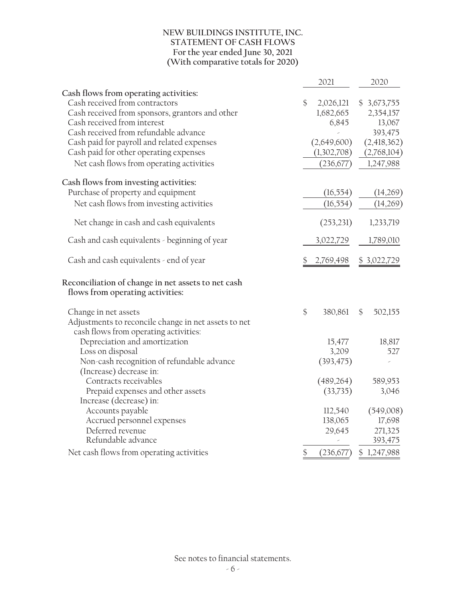#### **NEW BUILDINGS INSTITUTE, INC. STATEMENT OF CASH FLOWS For the year ended June 30, 2021 (With comparative totals for 2020)**

|                                                                                               |               | 2021        | 2020          |
|-----------------------------------------------------------------------------------------------|---------------|-------------|---------------|
| Cash flows from operating activities:                                                         |               |             |               |
| Cash received from contractors                                                                | \$            | 2,026,121   | \$3,673,755   |
| Cash received from sponsors, grantors and other                                               |               | 1,682,665   | 2,354,157     |
| Cash received from interest                                                                   |               | 6,845       | 13,067        |
| Cash received from refundable advance                                                         |               |             | 393,475       |
| Cash paid for payroll and related expenses                                                    |               | (2,649,600) | (2,418,362)   |
| Cash paid for other operating expenses                                                        |               | (1,302,708) | (2,768,104)   |
| Net cash flows from operating activities                                                      |               | (236, 677)  | 1,247,988     |
| Cash flows from investing activities:                                                         |               |             |               |
| Purchase of property and equipment                                                            |               | (16, 554)   | (14,269)      |
| Net cash flows from investing activities                                                      |               | (16, 554)   | (14,269)      |
| Net change in cash and cash equivalents                                                       |               | (253, 231)  | 1,233,719     |
| Cash and cash equivalents - beginning of year                                                 |               | 3,022,729   | 1,789,010     |
| Cash and cash equivalents - end of year                                                       |               | 2,769,498   | \$3,022,729   |
| Reconciliation of change in net assets to net cash                                            |               |             |               |
| flows from operating activities:                                                              |               |             |               |
| Change in net assets                                                                          | $\frac{1}{2}$ | 380,861     | \$<br>502,155 |
| Adjustments to reconcile change in net assets to net<br>cash flows from operating activities: |               |             |               |
| Depreciation and amortization                                                                 |               | 15,477      | 18,817        |
| Loss on disposal                                                                              |               | 3,209       | 527           |
| Non-cash recognition of refundable advance                                                    |               | (393, 475)  |               |
| (Increase) decrease in:                                                                       |               |             |               |
| Contracts receivables                                                                         |               | (489, 264)  | 589,953       |
| Prepaid expenses and other assets                                                             |               | (33,735)    | 3,046         |
| Increase (decrease) in:                                                                       |               |             |               |
| Accounts payable                                                                              |               | 112,540     | (549,008)     |
| Accrued personnel expenses                                                                    |               | 138,065     | 17,698        |
| Deferred revenue                                                                              |               | 29,645      | 271,325       |
| Refundable advance                                                                            |               |             | 393,475       |
| Net cash flows from operating activities                                                      | \$            | (236, 677)  | \$1,247,988   |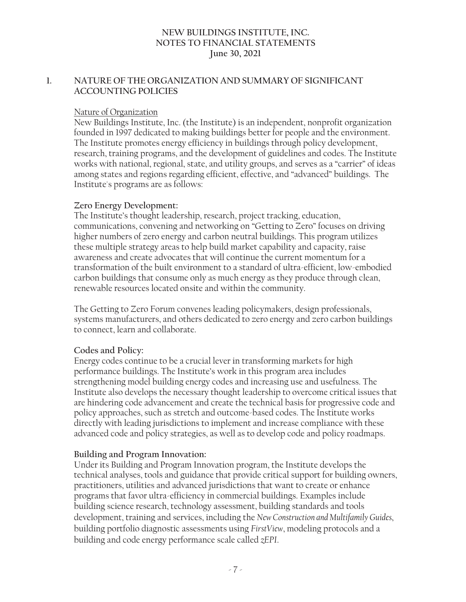#### **1. NATURE OF THE ORGANIZATION AND SUMMARY OF SIGNIFICANT ACCOUNTING POLICIES**

## Nature of Organization

New Buildings Institute, Inc. (the Institute) is an independent, nonprofit organization founded in 1997 dedicated to making buildings better for people and the environment. The Institute promotes energy efficiency in buildings through policy development, research, training programs, and the development of guidelines and codes. The Institute works with national, regional, state, and utility groups, and serves as a "carrier" of ideas among states and regions regarding efficient, effective, and "advanced" buildings. The Institute's programs are as follows:

## **Zero Energy Development:**

The Institute's thought leadership, research, project tracking, education, communications, convening and networking on "Getting to Zero" focuses on driving higher numbers of zero energy and carbon neutral buildings. This program utilizes these multiple strategy areas to help build market capability and capacity, raise awareness and create advocates that will continue the current momentum for a transformation of the built environment to a standard of ultra-efficient, low-embodied carbon buildings that consume only as much energy as they produce through clean, renewable resources located onsite and within the community.

The Getting to Zero Forum convenes leading policymakers, design professionals, systems manufacturers, and others dedicated to zero energy and zero carbon buildings to connect, learn and collaborate.

## **Codes and Policy:**

Energy codes continue to be a crucial lever in transforming markets for high performance buildings. The Institute's work in this program area includes strengthening model building energy codes and increasing use and usefulness. The Institute also develops the necessary thought leadership to overcome critical issues that are hindering code advancement and create the technical basis for progressive code and policy approaches, such as stretch and outcome-based codes. The Institute works directly with leading jurisdictions to implement and increase compliance with these advanced code and policy strategies, as well as to develop code and policy roadmaps.

## **Building and Program Innovation:**

Under its Building and Program Innovation program, the Institute develops the technical analyses, tools and guidance that provide critical support for building owners, practitioners, utilities and advanced jurisdictions that want to create or enhance programs that favor ultra-efficiency in commercial buildings. Examples include building science research, technology assessment, building standards and tools development, training and services, including the *New Construction and Multifamily Guides*, building portfolio diagnostic assessments using *FirstView*, modeling protocols and a building and code energy performance scale called *zEPI*.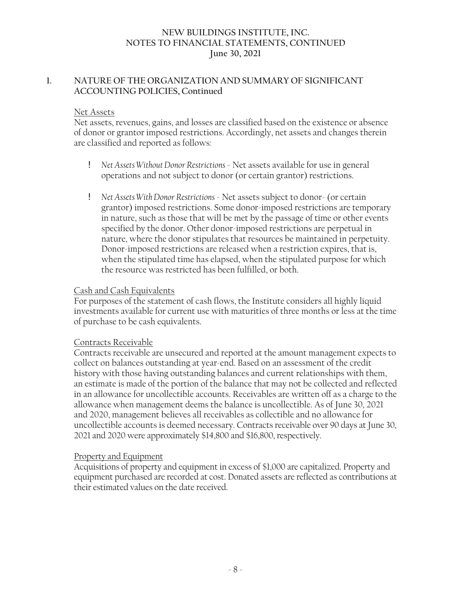#### **1. NATURE OF THE ORGANIZATION AND SUMMARY OF SIGNIFICANT ACCOUNTING POLICIES, Continued**

#### Net Assets

Net assets, revenues, gains, and losses are classified based on the existence or absence of donor or grantor imposed restrictions. Accordingly, net assets and changes therein are classified and reported as follows:

- ! *Net Assets Without Donor Restrictions* Net assets available for use in general operations and not subject to donor (or certain grantor) restrictions.
- ! *Net Assets With Donor Restrictions* Net assets subject to donor- (or certain grantor) imposed restrictions. Some donor-imposed restrictions are temporary in nature, such as those that will be met by the passage of time or other events specified by the donor. Other donor-imposed restrictions are perpetual in nature, where the donor stipulates that resources be maintained in perpetuity. Donor-imposed restrictions are released when a restriction expires, that is, when the stipulated time has elapsed, when the stipulated purpose for which the resource was restricted has been fulfilled, or both.

#### Cash and Cash Equivalents

For purposes of the statement of cash flows, the Institute considers all highly liquid investments available for current use with maturities of three months or less at the time of purchase to be cash equivalents.

## Contracts Receivable

Contracts receivable are unsecured and reported at the amount management expects to collect on balances outstanding at year-end. Based on an assessment of the credit history with those having outstanding balances and current relationships with them, an estimate is made of the portion of the balance that may not be collected and reflected in an allowance for uncollectible accounts. Receivables are written off as a charge to the allowance when management deems the balance is uncollectible. As of June 30, 2021 and 2020, management believes all receivables as collectible and no allowance for uncollectible accounts is deemed necessary. Contracts receivable over 90 days at June 30, 2021 and 2020 were approximately \$14,800 and \$16,800, respectively.

## Property and Equipment

Acquisitions of property and equipment in excess of \$1,000 are capitalized. Property and equipment purchased are recorded at cost. Donated assets are reflected as contributions at their estimated values on the date received.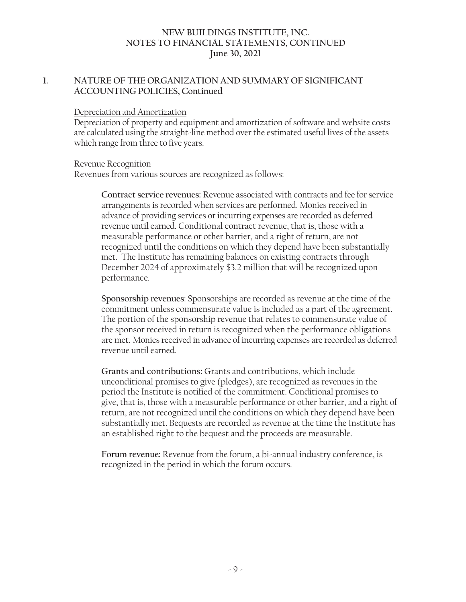#### **1. NATURE OF THE ORGANIZATION AND SUMMARY OF SIGNIFICANT ACCOUNTING POLICIES, Continued**

#### Depreciation and Amortization

Depreciation of property and equipment and amortization of software and website costs are calculated using the straight-line method over the estimated useful lives of the assets which range from three to five years.

#### Revenue Recognition

Revenues from various sources are recognized as follows:

**Contract service revenues:** Revenue associated with contracts and fee for service arrangements is recorded when services are performed. Monies received in advance of providing services or incurring expenses are recorded as deferred revenue until earned. Conditional contract revenue, that is, those with a measurable performance or other barrier, and a right of return, are not recognized until the conditions on which they depend have been substantially met. The Institute has remaining balances on existing contracts through December 2024 of approximately \$3.2 million that will be recognized upon performance.

**Sponsorship revenues**: Sponsorships are recorded as revenue at the time of the commitment unless commensurate value is included as a part of the agreement. The portion of the sponsorship revenue that relates to commensurate value of the sponsor received in return is recognized when the performance obligations are met. Monies received in advance of incurring expenses are recorded as deferred revenue until earned.

**Grants and contributions:** Grants and contributions, which include unconditional promises to give (pledges), are recognized as revenues in the period the Institute is notified of the commitment. Conditional promises to give, that is, those with a measurable performance or other barrier, and a right of return, are not recognized until the conditions on which they depend have been substantially met. Bequests are recorded as revenue at the time the Institute has an established right to the bequest and the proceeds are measurable.

**Forum revenue:** Revenue from the forum, a bi-annual industry conference, is recognized in the period in which the forum occurs.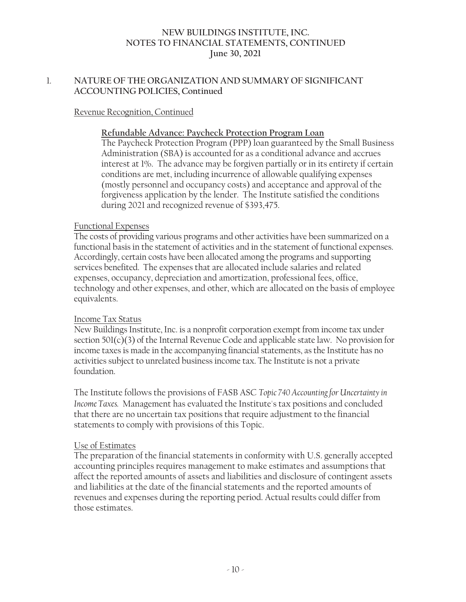#### 1. **NATURE OF THE ORGANIZATION AND SUMMARY OF SIGNIFICANT ACCOUNTING POLICIES, Continued**

## Revenue Recognition, Continued

## **Refundable Advance: Paycheck Protection Program Loan**

The Paycheck Protection Program (PPP) loan guaranteed by the Small Business Administration (SBA) is accounted for as a conditional advance and accrues interest at 1%. The advance may be forgiven partially or in its entirety if certain conditions are met, including incurrence of allowable qualifying expenses (mostly personnel and occupancy costs) and acceptance and approval of the forgiveness application by the lender. The Institute satisfied the conditions during 2021 and recognized revenue of \$393,475.

#### Functional Expenses

The costs of providing various programs and other activities have been summarized on a functional basis in the statement of activities and in the statement of functional expenses. Accordingly, certain costs have been allocated among the programs and supporting services benefited. The expenses that are allocated include salaries and related expenses, occupancy, depreciation and amortization, professional fees, office, technology and other expenses, and other, which are allocated on the basis of employee equivalents.

#### Income Tax Status

New Buildings Institute, Inc. is a nonprofit corporation exempt from income tax under section 501(c)(3) of the Internal Revenue Code and applicable state law. No provision for income taxes is made in the accompanying financial statements, as the Institute has no activities subject to unrelated business income tax. The Institute is not a private foundation.

The Institute follows the provisions of FASB ASC *Topic 740 Accounting for Uncertainty in Income Taxes.* Management has evaluated the Institute's tax positions and concluded that there are no uncertain tax positions that require adjustment to the financial statements to comply with provisions of this Topic.

## Use of Estimates

The preparation of the financial statements in conformity with U.S. generally accepted accounting principles requires management to make estimates and assumptions that affect the reported amounts of assets and liabilities and disclosure of contingent assets and liabilities at the date of the financial statements and the reported amounts of revenues and expenses during the reporting period. Actual results could differ from those estimates.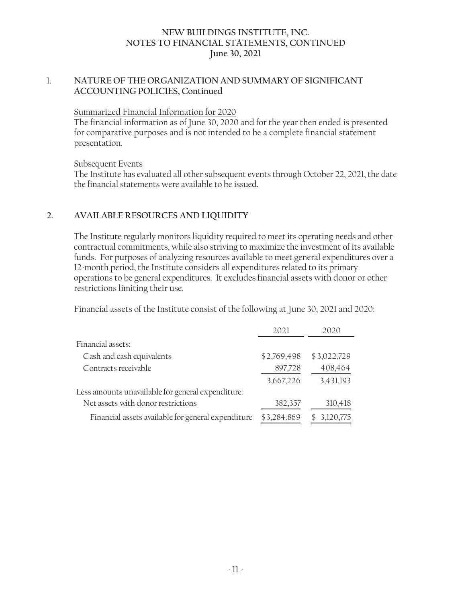#### 1. **NATURE OF THE ORGANIZATION AND SUMMARY OF SIGNIFICANT ACCOUNTING POLICIES, Continued**

#### Summarized Financial Information for 2020

The financial information as of June 30, 2020 and for the year then ended is presented for comparative purposes and is not intended to be a complete financial statement presentation.

#### Subsequent Events

The Institute has evaluated all other subsequent events through October 22, 2021, the date the financial statements were available to be issued.

# **2. AVAILABLE RESOURCES AND LIQUIDITY**

The Institute regularly monitors liquidity required to meet its operating needs and other contractual commitments, while also striving to maximize the investment of its available funds. For purposes of analyzing resources available to meet general expenditures over a 12-month period, the Institute considers all expenditures related to its primary operations to be general expenditures. It excludes financial assets with donor or other restrictions limiting their use.

Financial assets of the Institute consist of the following at June 30, 2021 and 2020:

|                                                    | 2021        | 2020        |
|----------------------------------------------------|-------------|-------------|
| Financial assets:                                  |             |             |
| Cash and cash equivalents                          | \$2,769,498 | \$3,022,729 |
| Contracts receivable                               | 897,728     | 408,464     |
|                                                    | 3,667,226   | 3,431,193   |
| Less amounts unavailable for general expenditure:  |             |             |
| Net assets with donor restrictions                 | 382,357     | 310,418     |
| Financial assets available for general expenditure | \$3,284,869 | 3,120,775   |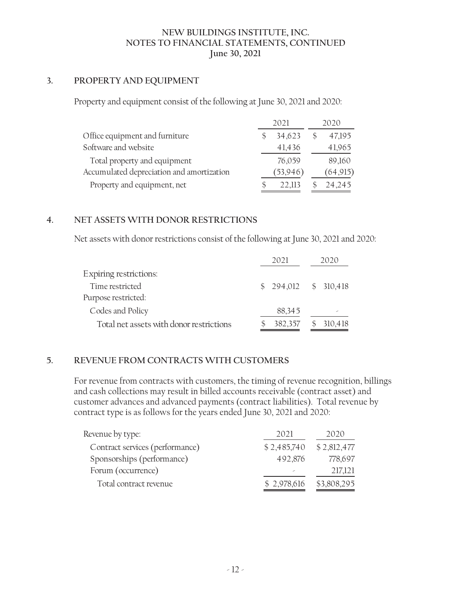# **3. PROPERTY AND EQUIPMENT**

Property and equipment consist of the following at June 30, 2021 and 2020:

|                                           |   | 2021     | 2020      |
|-------------------------------------------|---|----------|-----------|
| Office equipment and furniture            |   | 34,623   | 47,195    |
| Software and website                      |   | 41,436   | 41,965    |
| Total property and equipment              |   | 76,059   | 89,160    |
| Accumulated depreciation and amortization |   | (53,946) | (64, 915) |
| Property and equipment, net               | Ж | 22.113   | 24,245    |

## **4. NET ASSETS WITH DONOR RESTRICTIONS**

Net assets with donor restrictions consist of the following at June 30, 2021 and 2020:

|                                          | 2021                  |         |
|------------------------------------------|-----------------------|---------|
| Expiring restrictions:                   |                       |         |
| Time restricted                          | $$294,012$ $$310,418$ |         |
| Purpose restricted:                      |                       |         |
| Codes and Policy                         | 88,345                |         |
| Total net assets with donor restrictions | 382,357               | 310,418 |

## **5. REVENUE FROM CONTRACTS WITH CUSTOMERS**

For revenue from contracts with customers, the timing of revenue recognition, billings and cash collections may result in billed accounts receivable (contract asset) and customer advances and advanced payments (contract liabilities). Total revenue by contract type is as follows for the years ended June 30, 2021 and 2020:

| Revenue by type:                | 2021        | 2020        |
|---------------------------------|-------------|-------------|
| Contract services (performance) | \$2,485,740 | \$2,812,477 |
| Sponsorships (performance)      | 492,876     | 778,697     |
| Forum (occurrence)              | ╭           | 217,121     |
| Total contract revenue          | \$2,978,616 | \$3,808,295 |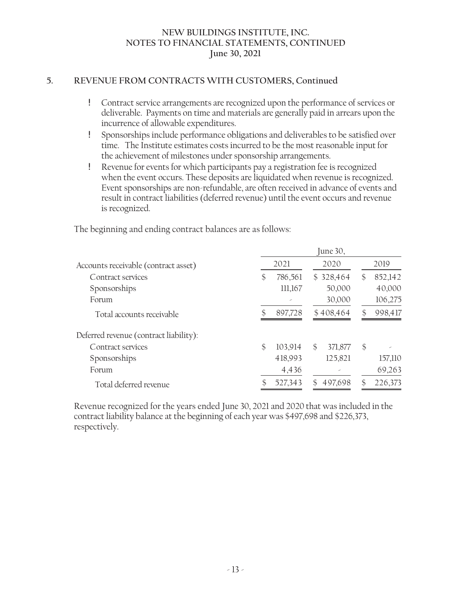## **5. REVENUE FROM CONTRACTS WITH CUSTOMERS, Continued**

- ! Contract service arrangements are recognized upon the performance of services or deliverable. Payments on time and materials are generally paid in arrears upon the incurrence of allowable expenditures.
- ! Sponsorships include performance obligations and deliverables to be satisfied over time. The Institute estimates costs incurred to be the most reasonable input for the achievement of milestones under sponsorship arrangements.
- ! Revenue for events for which participants pay a registration fee is recognized when the event occurs. These deposits are liquidated when revenue is recognized. Event sponsorships are non-refundable, are often received in advance of events and result in contract liabilities (deferred revenue) until the event occurs and revenue is recognized.

The beginning and ending contract balances are as follows:

| June 30, |         |     |         |                        |         |  |  |
|----------|---------|-----|---------|------------------------|---------|--|--|
| 2021     |         |     | 2020    |                        | 2019    |  |  |
|          | 786,561 |     |         | S                      | 852,142 |  |  |
|          | 111,167 |     | 50,000  |                        | 40,000  |  |  |
|          |         |     | 30,000  |                        | 106,275 |  |  |
|          | 897,728 |     |         |                        | 998,417 |  |  |
|          |         |     |         |                        |         |  |  |
| \$       | 103,914 | \$. | 371,877 | $\mathcal{S}$          |         |  |  |
|          | 418,993 |     | 125,821 |                        | 157,110 |  |  |
|          | 4,436   |     | -       |                        | 69,263  |  |  |
|          | 527,343 | \$  | 497,698 |                        | 226,373 |  |  |
|          |         |     |         | \$328,464<br>\$408,464 |         |  |  |

Revenue recognized for the years ended June 30, 2021 and 2020 that was included in the contract liability balance at the beginning of each year was \$497,698 and \$226,373, respectively.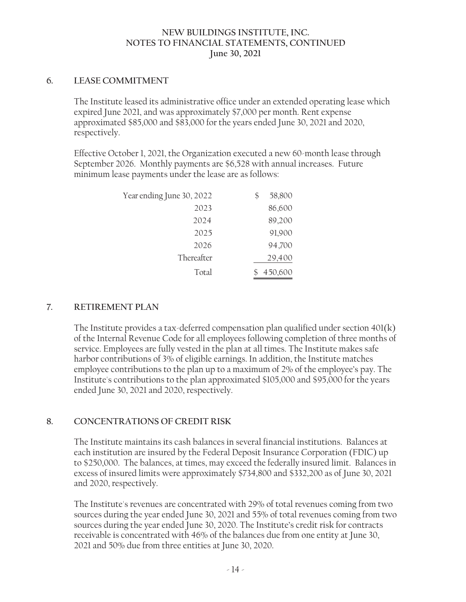#### **6. LEASE COMMITMENT**

The Institute leased its administrative office under an extended operating lease which expired June 2021, and was approximately \$7,000 per month. Rent expense approximated \$85,000 and \$83,000 for the years ended June 30, 2021 and 2020, respectively.

Effective October 1, 2021, the Organization executed a new 60-month lease through September 2026. Monthly payments are \$6,528 with annual increases. Future minimum lease payments under the lease are as follows:

| Year ending June 30, 2022 | 58,800  |
|---------------------------|---------|
| 2023                      | 86,600  |
| 2024                      | 89,200  |
| 2025                      | 91,900  |
| 2026                      | 94,700  |
| Thereafter                | 29,400  |
| Total                     | 450,600 |

## **7. RETIREMENT PLAN**

The Institute provides a tax-deferred compensation plan qualified under section 401(k) of the Internal Revenue Code for all employees following completion of three months of service. Employees are fully vested in the plan at all times. The Institute makes safe harbor contributions of 3% of eligible earnings. In addition, the Institute matches employee contributions to the plan up to a maximum of 2% of the employee's pay. The Institute's contributions to the plan approximated \$105,000 and \$95,000 for the years ended June 30, 2021 and 2020, respectively.

# **8. CONCENTRATIONS OF CREDIT RISK**

The Institute maintains its cash balances in several financial institutions. Balances at each institution are insured by the Federal Deposit Insurance Corporation (FDIC) up to \$250,000. The balances, at times, may exceed the federally insured limit. Balances in excess of insured limits were approximately \$734,800 and \$332,200 as of June 30, 2021 and 2020, respectively.

The Institute's revenues are concentrated with 29% of total revenues coming from two sources during the year ended June 30, 2021 and 55% of total revenues coming from two sources during the year ended June 30, 2020. The Institute's credit risk for contracts receivable is concentrated with 46% of the balances due from one entity at June 30, 2021 and 50% due from three entities at June 30, 2020.